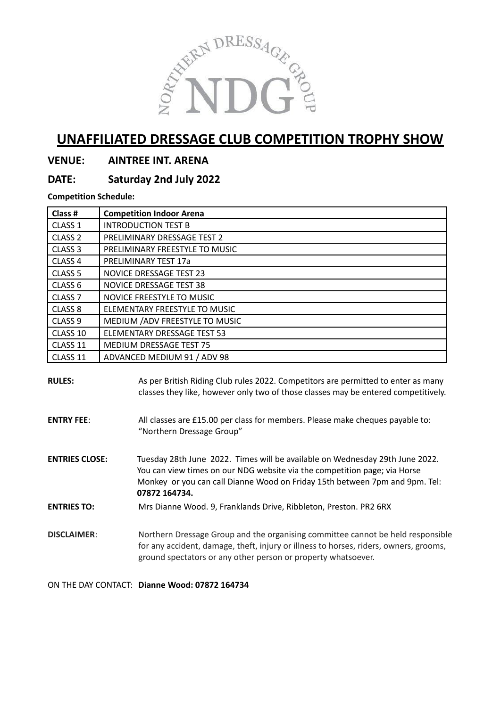

# **UNAFFILIATED DRESSAGE CLUB COMPETITION TROPHY SHOW**

### **VENUE: AINTREE INT. ARENA**

## **DATE: Saturday 2nd July 2022**

**Competition Schedule:**

| Class #            | <b>Competition Indoor Arena</b> |  |  |  |  |  |
|--------------------|---------------------------------|--|--|--|--|--|
| CLASS <sub>1</sub> | <b>INTRODUCTION TEST B</b>      |  |  |  |  |  |
| CLASS <sub>2</sub> | PRELIMINARY DRESSAGE TEST 2     |  |  |  |  |  |
| CLASS <sub>3</sub> | PRELIMINARY FREESTYLE TO MUSIC  |  |  |  |  |  |
| CLASS <sub>4</sub> | PRELIMINARY TEST 17a            |  |  |  |  |  |
| CLASS <sub>5</sub> | <b>NOVICE DRESSAGE TEST 23</b>  |  |  |  |  |  |
| CLASS <sub>6</sub> | NOVICE DRESSAGE TEST 38         |  |  |  |  |  |
| CLASS <sub>7</sub> | NOVICE FREESTYLE TO MUSIC       |  |  |  |  |  |
| CLASS <sub>8</sub> | ELEMENTARY FREESTYLE TO MUSIC   |  |  |  |  |  |
| CLASS <sub>9</sub> | MEDIUM / ADV FREESTYLE TO MUSIC |  |  |  |  |  |
| CLASS 10           | ELEMENTARY DRESSAGE TEST 53     |  |  |  |  |  |
| CLASS 11           | MEDIUM DRESSAGE TEST 75         |  |  |  |  |  |
| CLASS 11           | ADVANCED MEDIUM 91 / ADV 98     |  |  |  |  |  |

**RULES:** As per British Riding Club rules 2022. Competitors are permitted to enter as many classes they like, however only two of those classes may be entered competitively.

**ENTRY FEE**: All classes are £15.00 per class for members. Please make cheques payable to: "Northern Dressage Group"

**ENTRIES CLOSE:** Tuesday 28th June 2022. Times will be available on Wednesday 29th June 2022. You can view times on our NDG website via the competition page; via Horse Monkey or you can call Dianne Wood on Friday 15th between 7pm and 9pm. Tel: **07872 164734.**

**ENTRIES TO:** Mrs Dianne Wood. 9, Franklands Drive, Ribbleton, Preston. PR2 6RX

**DISCLAIMER:** Northern Dressage Group and the organising committee cannot be held responsible for any accident, damage, theft, injury or illness to horses, riders, owners, grooms, ground spectators or any other person or property whatsoever.

ON THE DAY CONTACT: **Dianne Wood: 07872 164734**